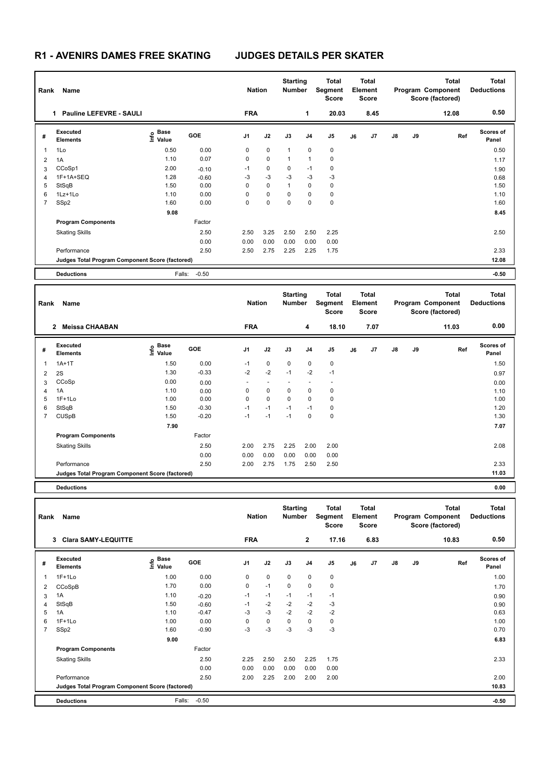## **R1 - AVENIRS DAMES FREE SKATING JUDGES DETAILS PER SKATER**

| Rank           | Name                                            |                                  |            | <b>Nation</b>  |             | <b>Starting</b><br>Number |                | <b>Total</b><br>Segment<br><b>Score</b> |    | <b>Total</b><br>Element<br><b>Score</b> |               |       | <b>Total</b><br>Program Component<br>Score (factored) | <b>Total</b><br><b>Deductions</b> |
|----------------|-------------------------------------------------|----------------------------------|------------|----------------|-------------|---------------------------|----------------|-----------------------------------------|----|-----------------------------------------|---------------|-------|-------------------------------------------------------|-----------------------------------|
|                | <b>Pauline LEFEVRE - SAULI</b><br>1.            |                                  |            | <b>FRA</b>     |             |                           | 1              | 20.03                                   |    | 8.45                                    |               |       | 12.08                                                 | 0.50                              |
| #              | Executed<br><b>Elements</b>                     | <b>Base</b><br>e Base<br>⊆ Value | <b>GOE</b> | J <sub>1</sub> | J2          | J3                        | J <sub>4</sub> | J <sub>5</sub>                          | J6 | J <sub>7</sub>                          | $\mathsf{J}8$ | J9    | Ref                                                   | <b>Scores of</b><br>Panel         |
| 1              | 1Lo                                             | 0.50                             | 0.00       | 0              | $\mathbf 0$ | 1                         | $\mathbf 0$    | $\mathbf 0$                             |    |                                         |               |       |                                                       | 0.50                              |
| 2              | 1A                                              | 1.10                             | 0.07       | 0              | $\mathbf 0$ | 1                         | 1              | $\mathbf 0$                             |    |                                         |               |       |                                                       | 1.17                              |
| 3              | CCoSp1                                          | 2.00                             | $-0.10$    | $-1$           | 0           | 0                         | $-1$           | 0                                       |    |                                         |               |       |                                                       | 1.90                              |
| 4              | 1F+1A+SEQ                                       | 1.28                             | $-0.60$    | $-3$           | $-3$        | $-3$                      | $-3$           | $-3$                                    |    |                                         |               |       |                                                       | 0.68                              |
| 5              | StSqB                                           | 1.50                             | 0.00       | 0              | $\mathbf 0$ | $\mathbf{1}$              | 0              | 0                                       |    |                                         |               |       |                                                       | 1.50                              |
| 6              | $1Lz+1Lo$                                       | 1.10                             | 0.00       | 0              | 0           | 0                         | 0              | 0                                       |    |                                         |               |       |                                                       | 1.10                              |
| $\overline{7}$ | SSp2                                            | 1.60                             | 0.00       | 0              | 0           | 0                         | 0              | $\mathbf 0$                             |    |                                         |               |       |                                                       | 1.60                              |
|                |                                                 | 9.08                             |            |                |             |                           |                |                                         |    |                                         |               |       |                                                       | 8.45                              |
|                | <b>Program Components</b>                       |                                  | Factor     |                |             |                           |                |                                         |    |                                         |               |       |                                                       |                                   |
|                | <b>Skating Skills</b>                           |                                  | 2.50       | 2.50           | 3.25        | 2.50                      | 2.50           | 2.25                                    |    |                                         |               |       |                                                       | 2.50                              |
|                |                                                 |                                  | 0.00       | 0.00           | 0.00        | 0.00                      | 0.00           | 0.00                                    |    |                                         |               |       |                                                       |                                   |
|                | Performance                                     |                                  | 2.50       | 2.50           | 2.75        | 2.25                      | 2.25           | 1.75                                    |    |                                         |               |       |                                                       | 2.33                              |
|                | Judges Total Program Component Score (factored) |                                  |            |                |             |                           |                |                                         |    |                                         |               | 12.08 |                                                       |                                   |
|                | <b>Deductions</b>                               | Falls:                           | $-0.50$    |                |             |                           |                |                                         |    |                                         |               |       |                                                       | $-0.50$                           |

|   | Name<br>Rank                                    |                                  |            |                |                          | <b>Starting</b><br><b>Number</b> |             | <b>Total</b><br>Segment<br><b>Score</b> | <b>Total</b><br>Element<br><b>Score</b> |      |               |    | <b>Total</b><br>Program Component<br>Score (factored) | <b>Total</b><br><b>Deductions</b> |
|---|-------------------------------------------------|----------------------------------|------------|----------------|--------------------------|----------------------------------|-------------|-----------------------------------------|-----------------------------------------|------|---------------|----|-------------------------------------------------------|-----------------------------------|
|   | 2 Meissa CHAABAN                                |                                  |            | <b>FRA</b>     |                          |                                  | 4           | 18.10                                   |                                         | 7.07 |               |    | 11.03                                                 | 0.00                              |
| # | Executed<br><b>Elements</b>                     | <b>Base</b><br>e Base<br>⊆ Value | <b>GOE</b> | J <sub>1</sub> | J2                       | J3                               | J4          | J <sub>5</sub>                          | J6                                      | J7   | $\mathsf{J}8$ | J9 | Ref                                                   | Scores of<br>Panel                |
| 1 | $1A+1T$                                         | 1.50                             | 0.00       | $-1$           | $\mathbf 0$              | $\mathbf 0$                      | $\mathbf 0$ | $\mathbf 0$                             |                                         |      |               |    |                                                       | 1.50                              |
| 2 | 2S                                              | 1.30                             | $-0.33$    | $-2$           | $-2$                     | $-1$                             | $-2$        | $-1$                                    |                                         |      |               |    |                                                       | 0.97                              |
| 3 | CCoSp                                           | 0.00                             | 0.00       |                | $\overline{\phantom{a}}$ |                                  |             | $\overline{\phantom{a}}$                |                                         |      |               |    |                                                       | 0.00                              |
| 4 | 1A                                              | 1.10                             | 0.00       | 0              | $\pmb{0}$                | 0                                | 0           | 0                                       |                                         |      |               |    |                                                       | 1.10                              |
| 5 | $1F+1Lo$                                        | 1.00                             | 0.00       | $\Omega$       | $\mathbf 0$              | $\Omega$                         | $\Omega$    | 0                                       |                                         |      |               |    |                                                       | 1.00                              |
| 6 | StSqB                                           | 1.50                             | $-0.30$    | $-1$           | $-1$                     | $-1$                             | $-1$        | 0                                       |                                         |      |               |    |                                                       | 1.20                              |
| 7 | <b>CUSpB</b>                                    | 1.50                             | $-0.20$    | $-1$           | $-1$                     | $-1$                             | 0           | 0                                       |                                         |      |               |    |                                                       | 1.30                              |
|   |                                                 | 7.90                             |            |                |                          |                                  |             |                                         |                                         |      |               |    |                                                       | 7.07                              |
|   | <b>Program Components</b>                       |                                  | Factor     |                |                          |                                  |             |                                         |                                         |      |               |    |                                                       |                                   |
|   | <b>Skating Skills</b>                           |                                  | 2.50       | 2.00           | 2.75                     | 2.25                             | 2.00        | 2.00                                    |                                         |      |               |    |                                                       | 2.08                              |
|   |                                                 |                                  | 0.00       | 0.00           | 0.00                     | 0.00                             | 0.00        | 0.00                                    |                                         |      |               |    |                                                       |                                   |
|   | Performance                                     |                                  | 2.50       | 2.00           | 2.75                     | 1.75                             | 2.50        | 2.50                                    |                                         |      |               |    |                                                       | 2.33                              |
|   | Judges Total Program Component Score (factored) |                                  |            |                |                          |                                  |             |                                         |                                         |      |               |    |                                                       | 11.03                             |
|   | <b>Deductions</b>                               |                                  |            |                |                          |                                  |             |                                         |                                         |      |               |    |                                                       | 0.00                              |

| Rank           | Name                                            |                                  |            | <b>Nation</b>  |             | <b>Starting</b><br><b>Number</b> |                | Total<br>Segment<br><b>Score</b> |    | <b>Total</b><br>Element<br><b>Score</b> |               |    | <b>Total</b><br>Program Component<br>Score (factored) | <b>Total</b><br><b>Deductions</b> |
|----------------|-------------------------------------------------|----------------------------------|------------|----------------|-------------|----------------------------------|----------------|----------------------------------|----|-----------------------------------------|---------------|----|-------------------------------------------------------|-----------------------------------|
|                | <b>Clara SAMY-LEQUITTE</b><br>3                 |                                  |            | <b>FRA</b>     |             |                                  | $\mathbf{2}$   | 17.16                            |    | 6.83                                    |               |    | 10.83                                                 | 0.50                              |
| #              | Executed<br><b>Elements</b>                     | <b>Base</b><br>o Base<br>⊆ Value | <b>GOE</b> | J <sub>1</sub> | J2          | J3                               | J <sub>4</sub> | J <sub>5</sub>                   | J6 | J7                                      | $\mathsf{J}8$ | J9 | Ref                                                   | <b>Scores of</b><br>Panel         |
|                | $1F+1Lo$                                        | 1.00                             | 0.00       | 0              | $\mathbf 0$ | $\mathbf 0$                      | $\mathbf 0$    | $\mathbf 0$                      |    |                                         |               |    |                                                       | 1.00                              |
| 2              | CCoSpB                                          | 1.70                             | 0.00       | 0              | $-1$        | 0                                | 0              | 0                                |    |                                         |               |    |                                                       | 1.70                              |
| 3              | 1A                                              | 1.10                             | $-0.20$    | $-1$           | $-1$        | $-1$                             | $-1$           | $-1$                             |    |                                         |               |    |                                                       | 0.90                              |
| 4              | StSqB                                           | 1.50                             | $-0.60$    | $-1$           | $-2$        | $-2$                             | $-2$           | $-3$                             |    |                                         |               |    |                                                       | 0.90                              |
| 5              | 1A                                              | 1.10                             | $-0.47$    | $-3$           | $-3$        | $-2$                             | $-2$           | $-2$                             |    |                                         |               |    |                                                       | 0.63                              |
| 6              | $1F+1Lo$                                        | 1.00                             | 0.00       | 0              | $\mathbf 0$ | 0                                | 0              | 0                                |    |                                         |               |    |                                                       | 1.00                              |
| $\overline{7}$ | SSp2                                            | 1.60                             | $-0.90$    | $-3$           | $-3$        | $-3$                             | $-3$           | $-3$                             |    |                                         |               |    |                                                       | 0.70                              |
|                |                                                 | 9.00                             |            |                |             |                                  |                |                                  |    |                                         |               |    |                                                       | 6.83                              |
|                | <b>Program Components</b>                       |                                  | Factor     |                |             |                                  |                |                                  |    |                                         |               |    |                                                       |                                   |
|                | <b>Skating Skills</b>                           |                                  | 2.50       | 2.25           | 2.50        | 2.50                             | 2.25           | 1.75                             |    |                                         |               |    |                                                       | 2.33                              |
|                |                                                 |                                  | 0.00       | 0.00           | 0.00        | 0.00                             | 0.00           | 0.00                             |    |                                         |               |    |                                                       |                                   |
|                | Performance                                     |                                  | 2.50       | 2.00           | 2.25        | 2.00                             | 2.00           | 2.00                             |    |                                         |               |    |                                                       | 2.00                              |
|                | Judges Total Program Component Score (factored) |                                  |            |                |             |                                  |                |                                  |    |                                         |               |    |                                                       | 10.83                             |
|                | <b>Deductions</b>                               | Falls:                           | $-0.50$    |                |             |                                  |                |                                  |    |                                         |               |    |                                                       | $-0.50$                           |